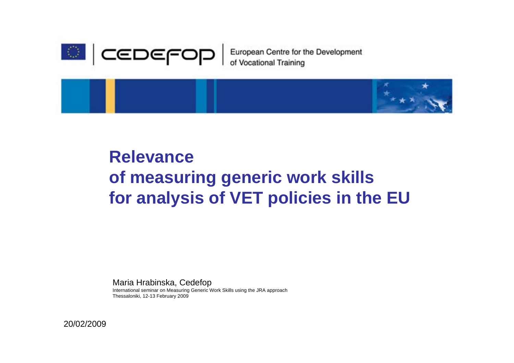

European Centre for the Development<br>of Vocational Training



## **Relevance of measuring generic work skills for analysis of VET policies in the EU**

Maria Hrabinska, Cedefop

International seminar on Measuring Generic Work Skills using the JRA approach Thessaloniki, 12-13 February 2009

20/02/2009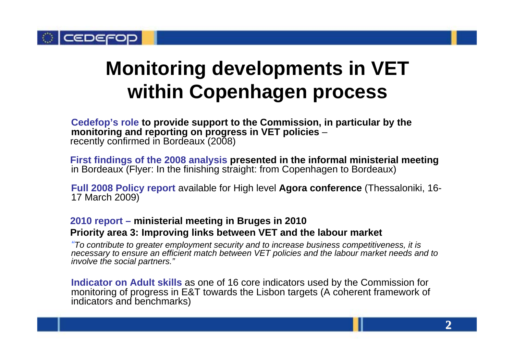

## **Monitoring developments in VET within Copenhagen process**

**Cedefop's role to provide support to the Commission, in particular by the monitoring and reporting on progress in VET policies**  – recently confirmed in Bordeaux (2008)

**First findings of the 2008 analysis presented in the informal ministerial meeting**  in Bordeaux (Flyer: In the finishing straight: from Copenhagen to Bordeaux)

**Full 2008 Policy report** available for High level **Agora conference** (Thessaloniki, 16- 17 March 2009)

### **2010 report – ministerial meeting in Bruges in 2010 Priority area 3: Improving links between VET and the labour market**

*"To contribute to greater employment security and to increase business competitiveness, it is necessary to ensure an efficient match between VET policies and the labour market needs and to involve the social partners."*

**Indicator on Adult skills** as one of 16 core indicators used by the Commission for monitoring of progress in E&T towards the Lisbon targets (A coherent framework of indicators and benchmarks)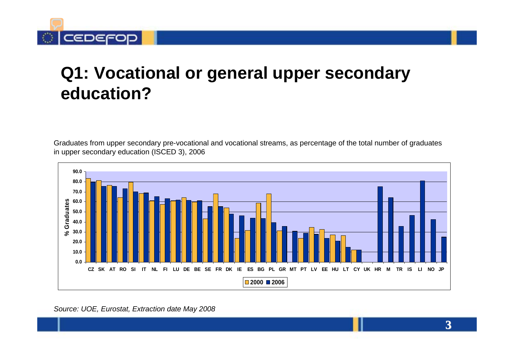

### **Q1: Vocational or general upper secondary education?**

Graduates from upper secondary pre-vocational and vocational streams, as percentage of the total number of graduates in upper secondary education (ISCED 3), 2006



#### *Source: UOE, Eurostat, Extraction date May 2008*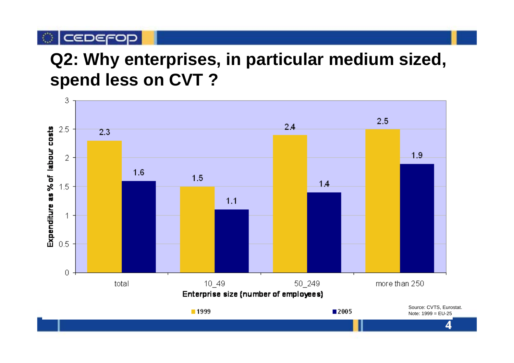## **Q2: Why enterprises, in particular medium sized, spend less on CVT ?**

C CEDEFOP

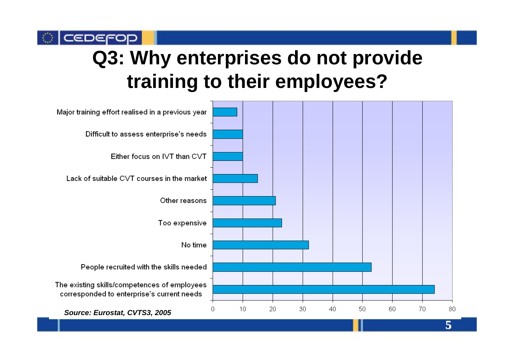# **Q3: Why enterprises do not provide training to their employees?**

CEDEFO

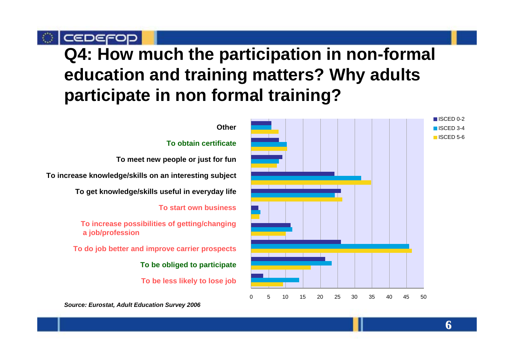CEDEFOD

### **Q4: How much the participation in non-formal education and training matters? Why adults participate in non formal training?**

#### **Other**

#### **To obtain certificate**

**To meet new people or just for fun**

**To increase knowledge/skills on an interesting subject**

**To get knowledge/skills useful in everyday life**

**To start own business**

**To increase possibilities of getting/changing a job/profession**

**To do job better and improve carrier prospects**

**To be obliged to participate**

**To be less likely to lose job**



*Source: Eurostat, Adult Education Survey 2006*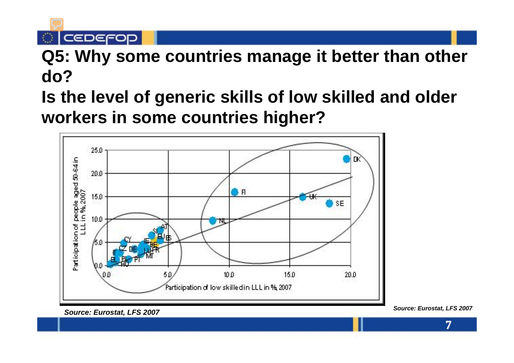$\circ$  | cedefop

- **Q5: Why some countries manage it better than other do?**
- **Is the level of generic skills of low skilled and older workers in some countries higher?**

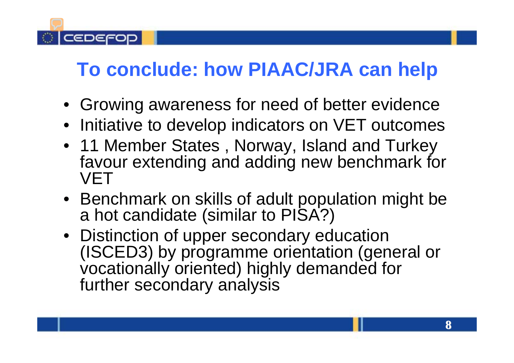## **To conclude: how PIAAC/JRA can help**

CEDEFO

- Growing awareness for need of better evidence
- Initiative to develop indicators on VET outcomes
- 11 Member States , Norway, Island and Turkey favour extending and adding new benchmark for **VET**
- Benchmark on skills of adult population might be a hot candidate (similar to PISA?)
- Distinction of upper secondary education (ISCED3) by programme orientation (general or vocationally oriented) highly demanded for further secondary analysis